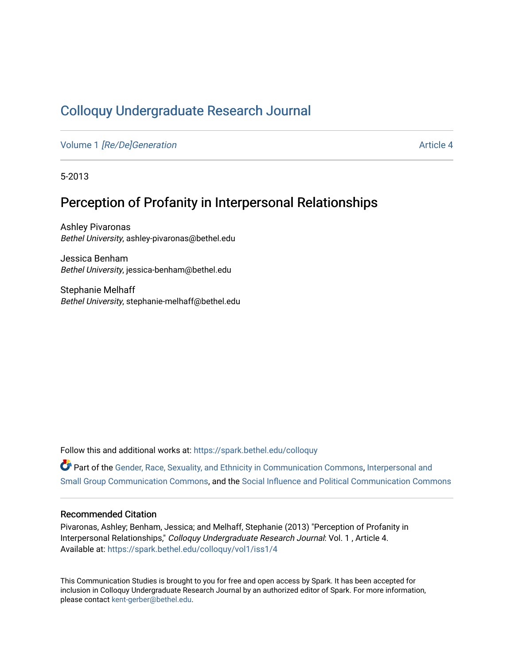# [Colloquy Undergraduate Research Journal](https://spark.bethel.edu/colloquy)

Volume 1 [\[Re/De\]Generation](https://spark.bethel.edu/colloquy/vol1) Article 4

5-2013

## Perception of Profanity in Interpersonal Relationships

Ashley Pivaronas Bethel University, ashley-pivaronas@bethel.edu

Jessica Benham Bethel University, jessica-benham@bethel.edu

Stephanie Melhaff Bethel University, stephanie-melhaff@bethel.edu

Follow this and additional works at: [https://spark.bethel.edu/colloquy](https://spark.bethel.edu/colloquy?utm_source=spark.bethel.edu%2Fcolloquy%2Fvol1%2Fiss1%2F4&utm_medium=PDF&utm_campaign=PDFCoverPages) 

Part of the [Gender, Race, Sexuality, and Ethnicity in Communication Commons,](http://network.bepress.com/hgg/discipline/329?utm_source=spark.bethel.edu%2Fcolloquy%2Fvol1%2Fiss1%2F4&utm_medium=PDF&utm_campaign=PDFCoverPages) [Interpersonal and](http://network.bepress.com/hgg/discipline/332?utm_source=spark.bethel.edu%2Fcolloquy%2Fvol1%2Fiss1%2F4&utm_medium=PDF&utm_campaign=PDFCoverPages) [Small Group Communication Commons](http://network.bepress.com/hgg/discipline/332?utm_source=spark.bethel.edu%2Fcolloquy%2Fvol1%2Fiss1%2F4&utm_medium=PDF&utm_campaign=PDFCoverPages), and the [Social Influence and Political Communication Commons](http://network.bepress.com/hgg/discipline/337?utm_source=spark.bethel.edu%2Fcolloquy%2Fvol1%2Fiss1%2F4&utm_medium=PDF&utm_campaign=PDFCoverPages) 

#### Recommended Citation

Pivaronas, Ashley; Benham, Jessica; and Melhaff, Stephanie (2013) "Perception of Profanity in Interpersonal Relationships," Colloquy Undergraduate Research Journal: Vol. 1 , Article 4. Available at: [https://spark.bethel.edu/colloquy/vol1/iss1/4](https://spark.bethel.edu/colloquy/vol1/iss1/4?utm_source=spark.bethel.edu%2Fcolloquy%2Fvol1%2Fiss1%2F4&utm_medium=PDF&utm_campaign=PDFCoverPages) 

This Communication Studies is brought to you for free and open access by Spark. It has been accepted for inclusion in Colloquy Undergraduate Research Journal by an authorized editor of Spark. For more information, please contact [kent-gerber@bethel.edu](mailto:kent-gerber@bethel.edu).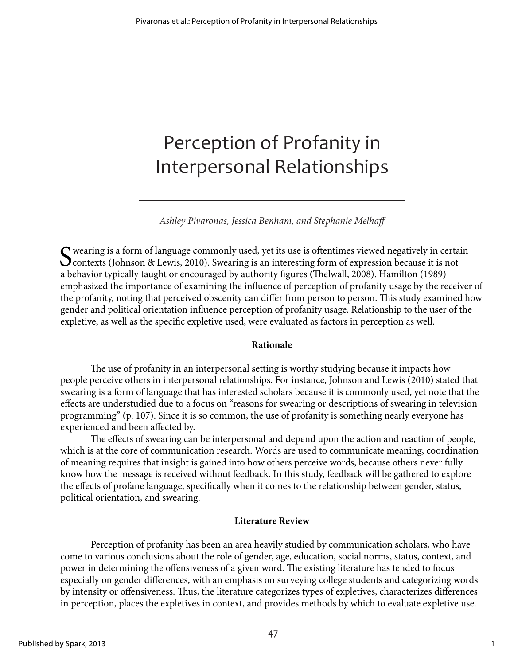# Perception of Profanity in Interpersonal Relationships

*Ashley Pivaronas, Jessica Benham, and Stephanie Melhaff* 

Swearing is a form of language commonly used, yet its use is oftentimes viewed negatively in certain Contexts (Johnson & Lewis, 2010). Swearing is an interesting form of expression because it is not a halo is not used to s a behavior typically taught or encouraged by authority figures (Thelwall, 2008). Hamilton (1989) emphasized the importance of examining the influence of perception of profanity usage by the receiver of the profanity, noting that perceived obscenity can differ from person to person. This study examined how gender and political orientation influence perception of profanity usage. Relationship to the user of the expletive, as well as the specific expletive used, were evaluated as factors in perception as well.

#### **Rationale**

The use of profanity in an interpersonal setting is worthy studying because it impacts how people perceive others in interpersonal relationships. For instance, Johnson and Lewis (2010) stated that swearing is a form of language that has interested scholars because it is commonly used, yet note that the effects are understudied due to a focus on "reasons for swearing or descriptions of swearing in television programming" (p. 107). Since it is so common, the use of profanity is something nearly everyone has experienced and been affected by.

The effects of swearing can be interpersonal and depend upon the action and reaction of people, which is at the core of communication research. Words are used to communicate meaning; coordination of meaning requires that insight is gained into how others perceive words, because others never fully know how the message is received without feedback. In this study, feedback will be gathered to explore the effects of profane language, specifically when it comes to the relationship between gender, status, political orientation, and swearing.

## **Literature Review**

Perception of profanity has been an area heavily studied by communication scholars, who have come to various conclusions about the role of gender, age, education, social norms, status, context, and power in determining the offensiveness of a given word. The existing literature has tended to focus especially on gender differences, with an emphasis on surveying college students and categorizing words by intensity or offensiveness. Thus, the literature categorizes types of expletives, characterizes differences in perception, places the expletives in context, and provides methods by which to evaluate expletive use.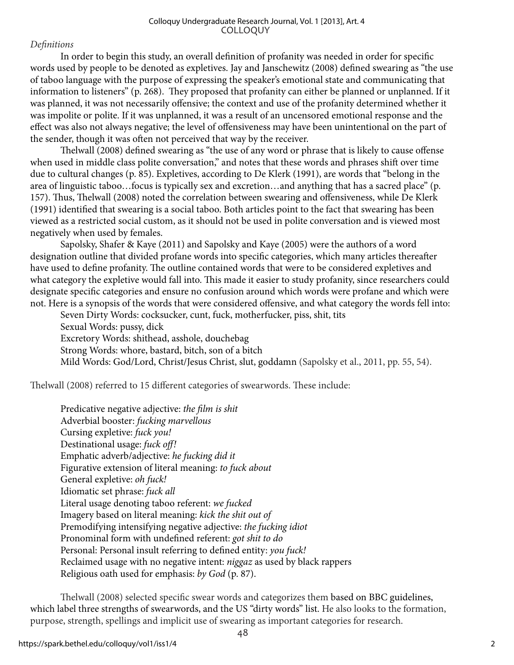*Definitions*

In order to begin this study, an overall definition of profanity was needed in order for specific words used by people to be denoted as expletives. Jay and Janschewitz (2008) defined swearing as "the use of taboo language with the purpose of expressing the speaker's emotional state and communicating that information to listeners" (p. 268). They proposed that profanity can either be planned or unplanned. If it was planned, it was not necessarily offensive; the context and use of the profanity determined whether it was impolite or polite. If it was unplanned, it was a result of an uncensored emotional response and the effect was also not always negative; the level of offensiveness may have been unintentional on the part of the sender, though it was often not perceived that way by the receiver.

Thelwall (2008) defined swearing as "the use of any word or phrase that is likely to cause offense when used in middle class polite conversation," and notes that these words and phrases shift over time due to cultural changes (p. 85). Expletives, according to De Klerk (1991), are words that "belong in the area of linguistic taboo…focus is typically sex and excretion…and anything that has a sacred place" (p. 157). Thus, Thelwall (2008) noted the correlation between swearing and offensiveness, while De Klerk (1991) identified that swearing is a social taboo. Both articles point to the fact that swearing has been viewed as a restricted social custom, as it should not be used in polite conversation and is viewed most negatively when used by females.

Sapolsky, Shafer & Kaye (2011) and Sapolsky and Kaye (2005) were the authors of a word designation outline that divided profane words into specific categories, which many articles thereafter have used to define profanity. The outline contained words that were to be considered expletives and what category the expletive would fall into. This made it easier to study profanity, since researchers could designate specific categories and ensure no confusion around which words were profane and which were not. Here is a synopsis of the words that were considered offensive, and what category the words fell into:

Seven Dirty Words: cocksucker, cunt, fuck, motherfucker, piss, shit, tits Sexual Words: pussy, dick Excretory Words: shithead, asshole, douchebag Strong Words: whore, bastard, bitch, son of a bitch Mild Words: God/Lord, Christ/Jesus Christ, slut, goddamn (Sapolsky et al., 2011, pp. 55, 54).

Thelwall (2008) referred to 15 different categories of swearwords. These include:

Predicative negative adjective: *the film is shit* Adverbial booster: *fucking marvellous* Cursing expletive: *fuck you!* Destinational usage: *fuck off!* Emphatic adverb/adjective: *he fucking did it* Figurative extension of literal meaning: *to fuck about* General expletive: *oh fuck!* Idiomatic set phrase: *fuck all* Literal usage denoting taboo referent: *we fucked* Imagery based on literal meaning: *kick the shit out of* Premodifying intensifying negative adjective: *the fucking idiot* Pronominal form with undefined referent: *got shit to do* Personal: Personal insult referring to defined entity: *you fuck!* Reclaimed usage with no negative intent: *niggaz* as used by black rappers Religious oath used for emphasis: *by God* (p. 87).

Thelwall (2008) selected specific swear words and categorizes them based on BBC guidelines, which label three strengths of swearwords, and the US "dirty words" list. He also looks to the formation, purpose, strength, spellings and implicit use of swearing as important categories for research.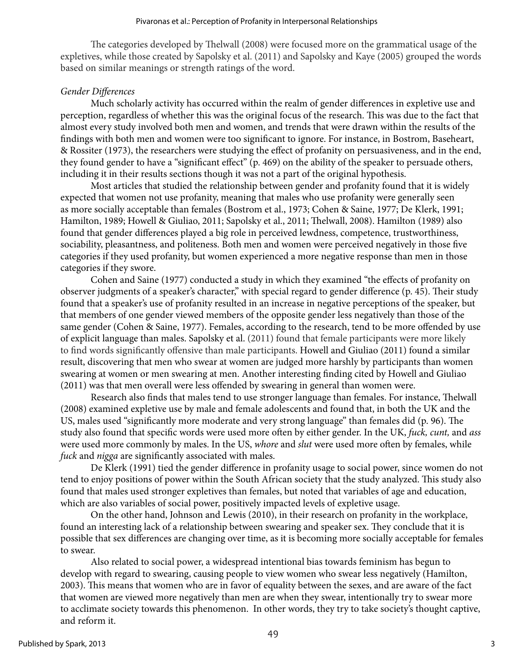The categories developed by Thelwall (2008) were focused more on the grammatical usage of the expletives, while those created by Sapolsky et al. (2011) and Sapolsky and Kaye (2005) grouped the words based on similar meanings or strength ratings of the word.

#### *Gender Differences*

Much scholarly activity has occurred within the realm of gender differences in expletive use and perception, regardless of whether this was the original focus of the research. This was due to the fact that almost every study involved both men and women, and trends that were drawn within the results of the findings with both men and women were too significant to ignore. For instance, in Bostrom, Baseheart, & Rossiter (1973), the researchers were studying the effect of profanity on persuasiveness, and in the end, they found gender to have a "significant effect" (p. 469) on the ability of the speaker to persuade others, including it in their results sections though it was not a part of the original hypothesis.

Most articles that studied the relationship between gender and profanity found that it is widely expected that women not use profanity, meaning that males who use profanity were generally seen as more socially acceptable than females (Bostrom et al., 1973; Cohen & Saine, 1977; De Klerk, 1991; Hamilton, 1989; Howell & Giuliao, 2011; Sapolsky et al., 2011; Thelwall, 2008). Hamilton (1989) also found that gender differences played a big role in perceived lewdness, competence, trustworthiness, sociability, pleasantness, and politeness. Both men and women were perceived negatively in those five categories if they used profanity, but women experienced a more negative response than men in those categories if they swore.

Cohen and Saine (1977) conducted a study in which they examined "the effects of profanity on observer judgments of a speaker's character," with special regard to gender difference (p. 45). Their study found that a speaker's use of profanity resulted in an increase in negative perceptions of the speaker, but that members of one gender viewed members of the opposite gender less negatively than those of the same gender (Cohen & Saine, 1977). Females, according to the research, tend to be more offended by use of explicit language than males. Sapolsky et al. (2011) found that female participants were more likely to find words significantly offensive than male participants. Howell and Giuliao (2011) found a similar result, discovering that men who swear at women are judged more harshly by participants than women swearing at women or men swearing at men. Another interesting finding cited by Howell and Giuliao (2011) was that men overall were less offended by swearing in general than women were.

Research also finds that males tend to use stronger language than females. For instance, Thelwall (2008) examined expletive use by male and female adolescents and found that, in both the UK and the US, males used "significantly more moderate and very strong language" than females did (p. 96). The study also found that specific words were used more often by either gender. In the UK, *fuck, cunt,* and *ass* were used more commonly by males. In the US, *whore* and *slut* were used more often by females, while *fuck* and *nigga* are significantly associated with males.

De Klerk (1991) tied the gender difference in profanity usage to social power, since women do not tend to enjoy positions of power within the South African society that the study analyzed. This study also found that males used stronger expletives than females, but noted that variables of age and education, which are also variables of social power, positively impacted levels of expletive usage.

On the other hand, Johnson and Lewis (2010), in their research on profanity in the workplace, found an interesting lack of a relationship between swearing and speaker sex. They conclude that it is possible that sex differences are changing over time, as it is becoming more socially acceptable for females to swear.

Also related to social power, a widespread intentional bias towards feminism has begun to develop with regard to swearing, causing people to view women who swear less negatively (Hamilton, 2003). This means that women who are in favor of equality between the sexes, and are aware of the fact that women are viewed more negatively than men are when they swear, intentionally try to swear more to acclimate society towards this phenomenon. In other words, they try to take society's thought captive, and reform it.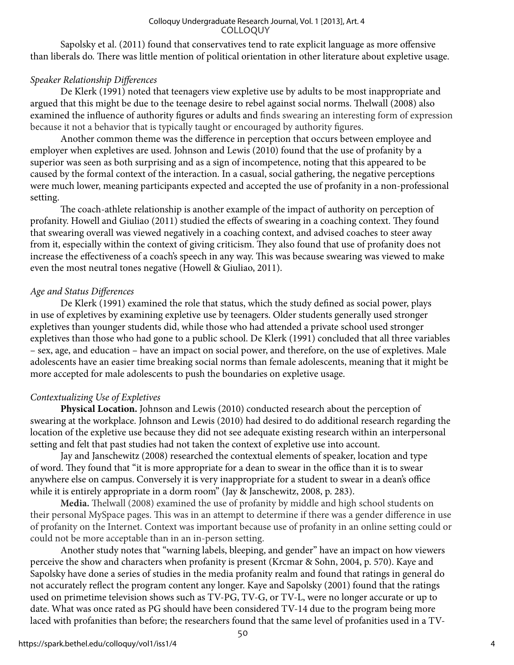Sapolsky et al. (2011) found that conservatives tend to rate explicit language as more offensive than liberals do. There was little mention of political orientation in other literature about expletive usage.

## *Speaker Relationship Differences*

De Klerk (1991) noted that teenagers view expletive use by adults to be most inappropriate and argued that this might be due to the teenage desire to rebel against social norms. Thelwall (2008) also examined the influence of authority figures or adults and finds swearing an interesting form of expression because it not a behavior that is typically taught or encouraged by authority figures.

Another common theme was the difference in perception that occurs between employee and employer when expletives are used. Johnson and Lewis (2010) found that the use of profanity by a superior was seen as both surprising and as a sign of incompetence, noting that this appeared to be caused by the formal context of the interaction. In a casual, social gathering, the negative perceptions were much lower, meaning participants expected and accepted the use of profanity in a non-professional setting.

The coach-athlete relationship is another example of the impact of authority on perception of profanity. Howell and Giuliao (2011) studied the effects of swearing in a coaching context. They found that swearing overall was viewed negatively in a coaching context, and advised coaches to steer away from it, especially within the context of giving criticism. They also found that use of profanity does not increase the effectiveness of a coach's speech in any way. This was because swearing was viewed to make even the most neutral tones negative (Howell & Giuliao, 2011).

## *Age and Status Differences*

De Klerk (1991) examined the role that status, which the study defined as social power, plays in use of expletives by examining expletive use by teenagers. Older students generally used stronger expletives than younger students did, while those who had attended a private school used stronger expletives than those who had gone to a public school. De Klerk (1991) concluded that all three variables – sex, age, and education – have an impact on social power, and therefore, on the use of expletives. Male adolescents have an easier time breaking social norms than female adolescents, meaning that it might be more accepted for male adolescents to push the boundaries on expletive usage.

## *Contextualizing Use of Expletives*

**Physical Location.** Johnson and Lewis (2010) conducted research about the perception of swearing at the workplace. Johnson and Lewis (2010) had desired to do additional research regarding the location of the expletive use because they did not see adequate existing research within an interpersonal setting and felt that past studies had not taken the context of expletive use into account.

Jay and Janschewitz (2008) researched the contextual elements of speaker, location and type of word. They found that "it is more appropriate for a dean to swear in the office than it is to swear anywhere else on campus. Conversely it is very inappropriate for a student to swear in a dean's office while it is entirely appropriate in a dorm room" (Jay & Janschewitz, 2008, p. 283).

**Media.** Thelwall (2008) examined the use of profanity by middle and high school students on their personal MySpace pages. This was in an attempt to determine if there was a gender difference in use of profanity on the Internet. Context was important because use of profanity in an online setting could or could not be more acceptable than in an in-person setting.

Another study notes that "warning labels, bleeping, and gender" have an impact on how viewers perceive the show and characters when profanity is present (Krcmar & Sohn, 2004, p. 570). Kaye and Sapolsky have done a series of studies in the media profanity realm and found that ratings in general do not accurately reflect the program content any longer. Kaye and Sapolsky (2001) found that the ratings used on primetime television shows such as TV-PG, TV-G, or TV-L, were no longer accurate or up to date. What was once rated as PG should have been considered TV-14 due to the program being more laced with profanities than before; the researchers found that the same level of profanities used in a TV-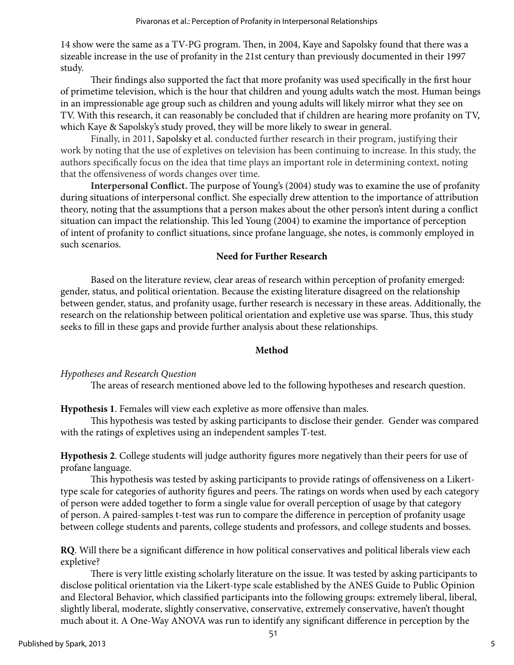14 show were the same as a TV-PG program. Then, in 2004, Kaye and Sapolsky found that there was a sizeable increase in the use of profanity in the 21st century than previously documented in their 1997 study.

Their findings also supported the fact that more profanity was used specifically in the first hour of primetime television, which is the hour that children and young adults watch the most. Human beings in an impressionable age group such as children and young adults will likely mirror what they see on TV. With this research, it can reasonably be concluded that if children are hearing more profanity on TV, which Kaye & Sapolsky's study proved, they will be more likely to swear in general.

Finally, in 2011, Sapolsky et al. conducted further research in their program, justifying their work by noting that the use of expletives on television has been continuing to increase. In this study, the authors specifically focus on the idea that time plays an important role in determining context, noting that the offensiveness of words changes over time.

**Interpersonal Conflict.** The purpose of Young's (2004) study was to examine the use of profanity during situations of interpersonal conflict. She especially drew attention to the importance of attribution theory, noting that the assumptions that a person makes about the other person's intent during a conflict situation can impact the relationship. This led Young (2004) to examine the importance of perception of intent of profanity to conflict situations, since profane language, she notes, is commonly employed in such scenarios.

#### **Need for Further Research**

Based on the literature review, clear areas of research within perception of profanity emerged: gender, status, and political orientation. Because the existing literature disagreed on the relationship between gender, status, and profanity usage, further research is necessary in these areas. Additionally, the research on the relationship between political orientation and expletive use was sparse. Thus, this study seeks to fill in these gaps and provide further analysis about these relationships.

#### **Method**

#### *Hypotheses and Research Question*

The areas of research mentioned above led to the following hypotheses and research question.

**Hypothesis 1**. Females will view each expletive as more offensive than males.

This hypothesis was tested by asking participants to disclose their gender. Gender was compared with the ratings of expletives using an independent samples T-test.

**Hypothesis 2**. College students will judge authority figures more negatively than their peers for use of profane language.

This hypothesis was tested by asking participants to provide ratings of offensiveness on a Likerttype scale for categories of authority figures and peers. The ratings on words when used by each category of person were added together to form a single value for overall perception of usage by that category of person. A paired-samples t-test was run to compare the difference in perception of profanity usage between college students and parents, college students and professors, and college students and bosses.

**RQ**. Will there be a significant difference in how political conservatives and political liberals view each expletive?

There is very little existing scholarly literature on the issue. It was tested by asking participants to disclose political orientation via the Likert-type scale established by the ANES Guide to Public Opinion and Electoral Behavior, which classified participants into the following groups: extremely liberal, liberal, slightly liberal, moderate, slightly conservative, conservative, extremely conservative, haven't thought much about it. A One-Way ANOVA was run to identify any significant difference in perception by the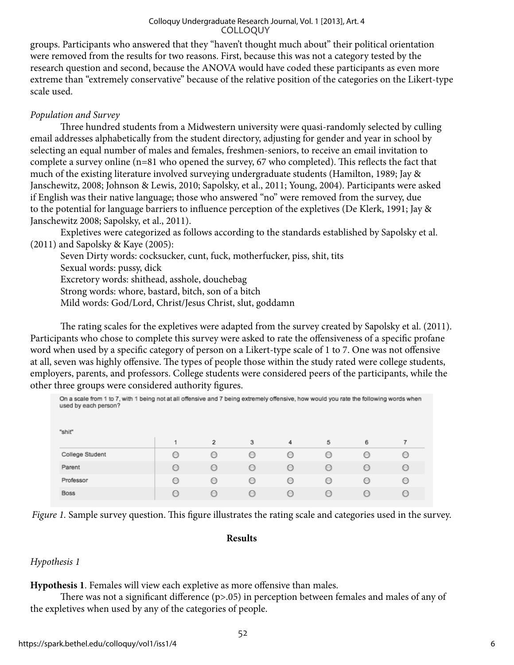groups. Participants who answered that they "haven't thought much about" their political orientation were removed from the results for two reasons. First, because this was not a category tested by the research question and second, because the ANOVA would have coded these participants as even more extreme than "extremely conservative" because of the relative position of the categories on the Likert-type scale used.

## *Population and Survey*

Three hundred students from a Midwestern university were quasi-randomly selected by culling email addresses alphabetically from the student directory, adjusting for gender and year in school by selecting an equal number of males and females, freshmen-seniors, to receive an email invitation to complete a survey online (n=81 who opened the survey, 67 who completed). This reflects the fact that much of the existing literature involved surveying undergraduate students (Hamilton, 1989; Jay & Janschewitz, 2008; Johnson & Lewis, 2010; Sapolsky, et al., 2011; Young, 2004). Participants were asked if English was their native language; those who answered "no" were removed from the survey, due to the potential for language barriers to influence perception of the expletives (De Klerk, 1991; Jay & Janschewitz 2008; Sapolsky, et al., 2011).

Expletives were categorized as follows according to the standards established by Sapolsky et al. (2011) and Sapolsky & Kaye (2005):

Seven Dirty words: cocksucker, cunt, fuck, motherfucker, piss, shit, tits Sexual words: pussy, dick Excretory words: shithead, asshole, douchebag Strong words: whore, bastard, bitch, son of a bitch Mild words: God/Lord, Christ/Jesus Christ, slut, goddamn

The rating scales for the expletives were adapted from the survey created by Sapolsky et al. (2011). Participants who chose to complete this survey were asked to rate the offensiveness of a specific profane word when used by a specific category of person on a Likert-type scale of 1 to 7. One was not offensive at all, seven was highly offensive. The types of people those within the study rated were college students, employers, parents, and professors. College students were considered peers of the participants, while the other three groups were considered authority figures.

| On a scale from 1 to 7, with 1 being not at all offensive and 7 being extremely offensive, how would you rate the following words when<br>used by each person? |  |                  |                                                 |   |   |                                                 |            |
|----------------------------------------------------------------------------------------------------------------------------------------------------------------|--|------------------|-------------------------------------------------|---|---|-------------------------------------------------|------------|
| "shit"                                                                                                                                                         |  |                  |                                                 |   |   |                                                 |            |
|                                                                                                                                                                |  | $\overline{2}$   | 3                                               | 4 | 5 | 6                                               |            |
| <b>College Student</b>                                                                                                                                         |  | $\left( \right)$ | $\left( \begin{array}{c} 1 \end{array} \right)$ |   |   |                                                 |            |
| Parent                                                                                                                                                         |  |                  |                                                 |   |   |                                                 |            |
| Professor                                                                                                                                                      |  | $\left( \right)$ | $\scriptstyle\odot$                             |   |   | $\left( \begin{array}{c} 1 \end{array} \right)$ | $\epsilon$ |
| <b>Boss</b>                                                                                                                                                    |  |                  |                                                 |   |   |                                                 |            |

*Figure 1.* Sample survey question. This figure illustrates the rating scale and categories used in the survey.

#### **Results**

## *Hypothesis 1*

**Hypothesis 1**. Females will view each expletive as more offensive than males.

There was not a significant difference (p>.05) in perception between females and males of any of the expletives when used by any of the categories of people.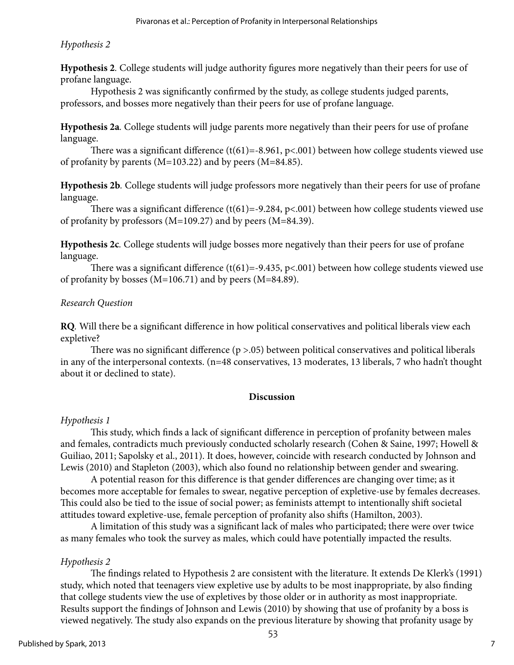## *Hypothesis 2*

**Hypothesis 2***.* College students will judge authority figures more negatively than their peers for use of profane language.

Hypothesis 2 was significantly confirmed by the study, as college students judged parents, professors, and bosses more negatively than their peers for use of profane language.

**Hypothesis 2a***.* College students will judge parents more negatively than their peers for use of profane language.

There was a significant difference (t(61)=-8.961, p<.001) between how college students viewed use of profanity by parents (M=103.22) and by peers (M=84.85).

**Hypothesis 2b***.* College students will judge professors more negatively than their peers for use of profane language.

There was a significant difference  $(t(61)=-9.284, p<.001)$  between how college students viewed use of profanity by professors (M=109.27) and by peers (M=84.39).

**Hypothesis 2c***.* College students will judge bosses more negatively than their peers for use of profane language.

There was a significant difference (t(61)=-9.435, p<.001) between how college students viewed use of profanity by bosses (M=106.71) and by peers (M=84.89).

## *Research Question*

**RQ***.* Will there be a significant difference in how political conservatives and political liberals view each expletive?

There was no significant difference  $(p > .05)$  between political conservatives and political liberals in any of the interpersonal contexts. (n=48 conservatives, 13 moderates, 13 liberals, 7 who hadn't thought about it or declined to state).

## **Discussion**

## *Hypothesis 1*

This study, which finds a lack of significant difference in perception of profanity between males and females, contradicts much previously conducted scholarly research (Cohen & Saine, 1997; Howell & Guiliao, 2011; Sapolsky et al., 2011). It does, however, coincide with research conducted by Johnson and Lewis (2010) and Stapleton (2003), which also found no relationship between gender and swearing.

A potential reason for this difference is that gender differences are changing over time; as it becomes more acceptable for females to swear, negative perception of expletive-use by females decreases. This could also be tied to the issue of social power; as feminists attempt to intentionally shift societal attitudes toward expletive-use, female perception of profanity also shifts (Hamilton, 2003).

A limitation of this study was a significant lack of males who participated; there were over twice as many females who took the survey as males, which could have potentially impacted the results.

## *Hypothesis 2*

The findings related to Hypothesis 2 are consistent with the literature. It extends De Klerk's (1991) study, which noted that teenagers view expletive use by adults to be most inappropriate, by also finding that college students view the use of expletives by those older or in authority as most inappropriate. Results support the findings of Johnson and Lewis (2010) by showing that use of profanity by a boss is viewed negatively. The study also expands on the previous literature by showing that profanity usage by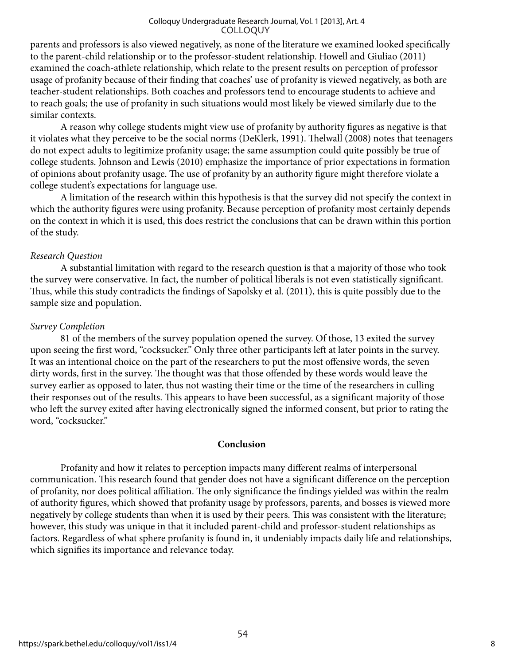parents and professors is also viewed negatively, as none of the literature we examined looked specifically to the parent-child relationship or to the professor-student relationship. Howell and Giuliao (2011) examined the coach-athlete relationship, which relate to the present results on perception of professor usage of profanity because of their finding that coaches' use of profanity is viewed negatively, as both are teacher-student relationships. Both coaches and professors tend to encourage students to achieve and to reach goals; the use of profanity in such situations would most likely be viewed similarly due to the similar contexts.

A reason why college students might view use of profanity by authority figures as negative is that it violates what they perceive to be the social norms (DeKlerk, 1991). Thelwall (2008) notes that teenagers do not expect adults to legitimize profanity usage; the same assumption could quite possibly be true of college students. Johnson and Lewis (2010) emphasize the importance of prior expectations in formation of opinions about profanity usage. The use of profanity by an authority figure might therefore violate a college student's expectations for language use.

A limitation of the research within this hypothesis is that the survey did not specify the context in which the authority figures were using profanity. Because perception of profanity most certainly depends on the context in which it is used, this does restrict the conclusions that can be drawn within this portion of the study.

#### *Research Question*

A substantial limitation with regard to the research question is that a majority of those who took the survey were conservative. In fact, the number of political liberals is not even statistically significant. Thus, while this study contradicts the findings of Sapolsky et al. (2011), this is quite possibly due to the sample size and population.

## *Survey Completion*

81 of the members of the survey population opened the survey. Of those, 13 exited the survey upon seeing the first word, "cocksucker." Only three other participants left at later points in the survey. It was an intentional choice on the part of the researchers to put the most offensive words, the seven dirty words, first in the survey. The thought was that those offended by these words would leave the survey earlier as opposed to later, thus not wasting their time or the time of the researchers in culling their responses out of the results. This appears to have been successful, as a significant majority of those who left the survey exited after having electronically signed the informed consent, but prior to rating the word, "cocksucker."

#### **Conclusion**

Profanity and how it relates to perception impacts many different realms of interpersonal communication. This research found that gender does not have a significant difference on the perception of profanity, nor does political affiliation. The only significance the findings yielded was within the realm of authority figures, which showed that profanity usage by professors, parents, and bosses is viewed more negatively by college students than when it is used by their peers. This was consistent with the literature; however, this study was unique in that it included parent-child and professor-student relationships as factors. Regardless of what sphere profanity is found in, it undeniably impacts daily life and relationships, which signifies its importance and relevance today.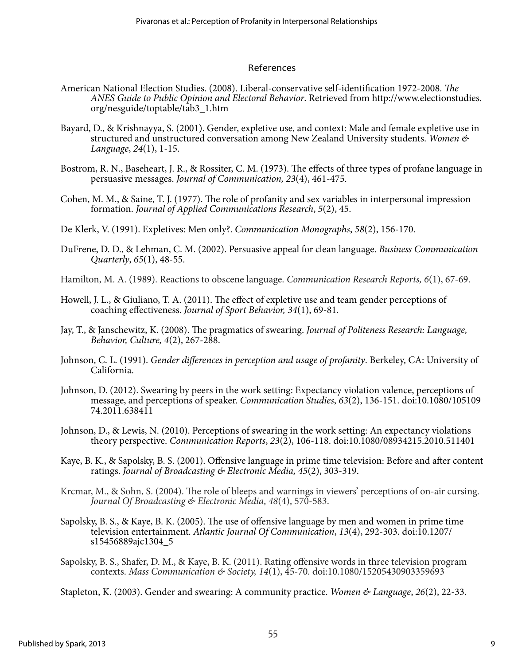#### References

- American National Election Studies. (2008). Liberal-conservative self-identification 1972-2008. *The ANES Guide to Public Opinion and Electoral Behavior*. Retrieved from http://www.electionstudies. org/nesguide/toptable/tab3\_1.htm
- Bayard, D., & Krishnayya, S. (2001). Gender, expletive use, and context: Male and female expletive use in structured and unstructured conversation among New Zealand University students. *Women & Language*, *24*(1), 1-15.
- Bostrom, R. N., Baseheart, J. R., & Rossiter, C. M. (1973). The effects of three types of profane language in persuasive messages. *Journal of Communication, 23*(4), 461-475.
- Cohen, M. M., & Saine, T. J. (1977). The role of profanity and sex variables in interpersonal impression formation. *Journal of Applied Communications Research*, *5*(2), 45.
- De Klerk, V. (1991). Expletives: Men only?. *Communication Monographs*, *58*(2), 156-170.
- DuFrene, D. D., & Lehman, C. M. (2002). Persuasive appeal for clean language. *Business Communication Quarterly*, *65*(1), 48-55.
- Hamilton, M. A. (1989). Reactions to obscene language. *Communication Research Reports, 6*(1), 67-69.
- Howell, J. L., & Giuliano, T. A. (2011). The effect of expletive use and team gender perceptions of coaching effectiveness. *Journal of Sport Behavior, 34*(1), 69-81.
- Jay, T., & Janschewitz, K. (2008). The pragmatics of swearing. *Journal of Politeness Research: Language, Behavior, Culture, 4*(2), 267-288.
- Johnson, C. L. (1991). *Gender differences in perception and usage of profanity*. Berkeley, CA: University of California.
- Johnson, D. (2012). Swearing by peers in the work setting: Expectancy violation valence, perceptions of message, and perceptions of speaker. *Communication Studies*, *63*(2), 136-151. doi:10.1080/105109 74.2011.638411
- Johnson, D., & Lewis, N. (2010). Perceptions of swearing in the work setting: An expectancy violations theory perspective. *Communication Reports*, *23*(2), 106-118. doi:10.1080/08934215.2010.511401
- Kaye, B. K., & Sapolsky, B. S. (2001). Offensive language in prime time television: Before and after content ratings. *Journal of Broadcasting & Electronic Media, 45*(2), 303-319.
- Krcmar, M., & Sohn, S. (2004). The role of bleeps and warnings in viewers' perceptions of on-air cursing. *Journal Of Broadcasting & Electronic Media*, *48*(4), 570-583.
- Sapolsky, B. S., & Kaye, B. K. (2005). The use of offensive language by men and women in prime time television entertainment. *Atlantic Journal Of Communication*, *13*(4), 292-303. doi:10.1207/ s15456889ajc1304\_5
- Sapolsky, B. S., Shafer, D. M., & Kaye, B. K. (2011). Rating offensive words in three television program contexts. *Mass Communication & Society, 14*(1), 45-70. doi:10.1080/15205430903359693

Stapleton, K. (2003). Gender and swearing: A community practice. *Women & Language*, *26*(2), 22-33.